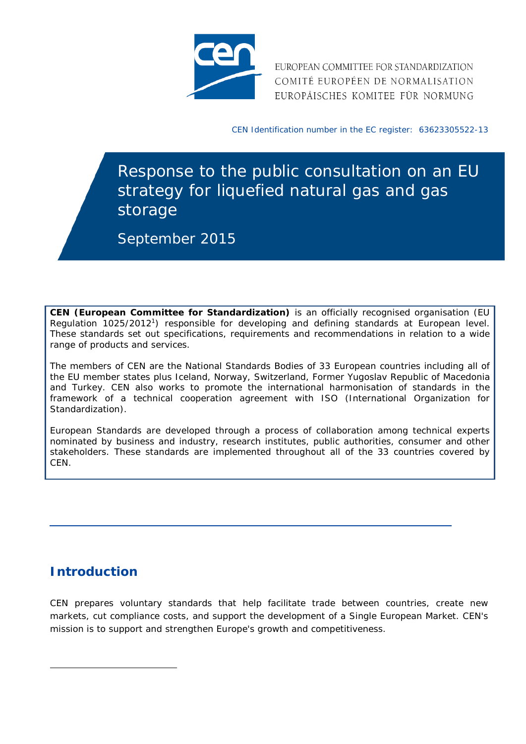

EUROPEAN COMMITTEE FOR STANDARDIZATION COMITÉ EUROPÉEN DE NORMALISATION EUROPÄISCHES KOMITEE FÜR NORMUNG

CEN Identification number in the EC register: 63623305522-13

Response to the public consultation on an EU strategy for liquefied natural gas and gas storage

September 2015

**CEN (European Committee for Standardization)** is an officially recognised organisation (EU Regulation 1025/20121) responsible for developing and defining standards at European level. These standards set out specifications, requirements and recommendations in relation to a wide range of products and services.

The members of CEN are the National Standards Bodies of 33 European countries including all of the EU member states plus Iceland, Norway, Switzerland, Former Yugoslav Republic of Macedonia and Turkey. CEN also works to promote the international harmonisation of standards in the framework of a technical cooperation agreement with ISO (International Organization for Standardization).

European Standards are developed through a process of collaboration among technical experts nominated by business and industry, research institutes, public authorities, consumer and other stakeholders. These standards are implemented throughout all of the 33 countries covered by CEN.

## **Introduction**

 $\overline{a}$ 

CEN prepares voluntary standards that help facilitate trade between countries, create new markets, cut compliance costs, and support the development of a Single European Market. CEN's mission is to support and strengthen Europe's growth and competitiveness.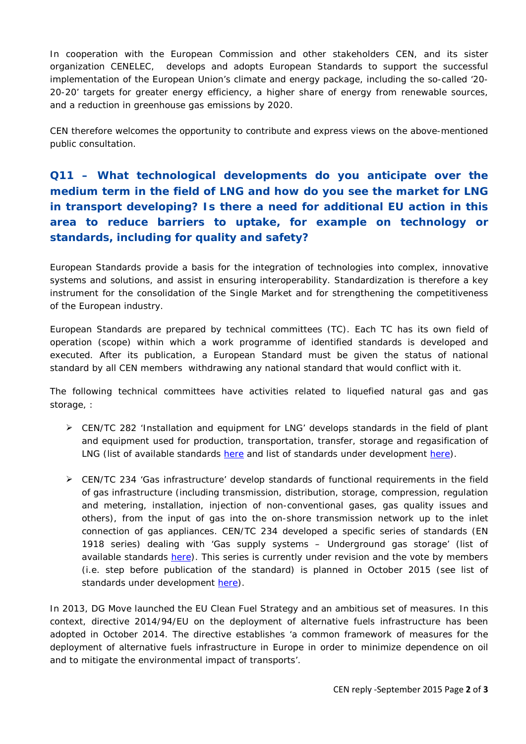In cooperation with the European Commission and other stakeholders CEN, and its sister organization CENELEC, develops and adopts European Standards to support the successful implementation of the European Union's climate and energy package, including the so-called '20- 20-20' targets for greater energy efficiency, a higher share of energy from renewable sources, and a reduction in greenhouse gas emissions by 2020.

CEN therefore welcomes the opportunity to contribute and express views on the above-mentioned public consultation.

## **Q11 – What technological developments do you anticipate over the medium term in the field of LNG and how do you see the market for LNG in transport developing? Is there a need for additional EU action in this area to reduce barriers to uptake, for example on technology or standards, including for quality and safety?**

European Standards provide a basis for the integration of technologies into complex, innovative systems and solutions, and assist in ensuring interoperability. Standardization is therefore a key instrument for the consolidation of the Single Market and for strengthening the competitiveness of the European industry.

European Standards are prepared by technical committees (TC). Each TC has its own field of operation (scope) within which a work programme of identified standards is developed and executed. After its publication, a European Standard must be given the status of national standard by all CEN members withdrawing any national standard that would conflict with it.

The following technical committees have activities related to liquefied natural gas and gas storage.:

- $\triangleright$  CEN/TC 282 'Installation and equipment for LNG' develops standards in the field of plant and equipment used for production, transportation, transfer, storage and regasification of LNG (list of available standards [here](http://standards.cen.eu/dyn/www/f?p=204:32:0::::FSP_ORG_ID,FSP_LANG_ID:6263,25&cs=1D42C6C6AE7349EA7F4CAE3D5A33C81A6) and list of standards under development [here\)](http://standards.cen.eu/dyn/www/f?p=204:22:0::::FSP_ORG_ID,FSP_LANG_ID:6263,25&cs=1D42C6C6AE7349EA7F4CAE3D5A33C81A6).
- $\triangleright$  CEN/TC 234 'Gas infrastructure' develop standards of functional requirements in the field of gas infrastructure (including transmission, distribution, storage, compression, regulation and metering, installation, injection of non-conventional gases, gas quality issues and others), from the input of gas into the on-shore transmission network up to the inlet connection of gas appliances. CEN/TC 234 developed a specific series of standards (EN 1918 series) dealing with 'Gas supply systems – Underground gas storage' (list of available standards [here\)](http://standards.cen.eu/dyn/www/f?p=204:32:0::::FSP_ORG_ID,FSP_LANG_ID:6215,25&cs=1BA81E2D27D4176CED3F1D72E205B4A4E). This series is currently under revision and the vote by members (i.e. step before publication of the standard) is planned in October 2015 (see list of standards under development [here\)](http://standards.cen.eu/dyn/www/f?p=204:22:0::::FSP_ORG_ID,FSP_LANG_ID:6215,25&cs=1BA81E2D27D4176CED3F1D72E205B4A4E).

In 2013, DG Move launched the EU Clean Fuel Strategy and an ambitious set of measures. In this context, directive 2014/94/EU on the deployment of alternative fuels infrastructure has been adopted in October 2014. The directive establishes 'a common framework of measures for the deployment of alternative fuels infrastructure in Europe in order to minimize dependence on oil and to mitigate the environmental impact of transports'.